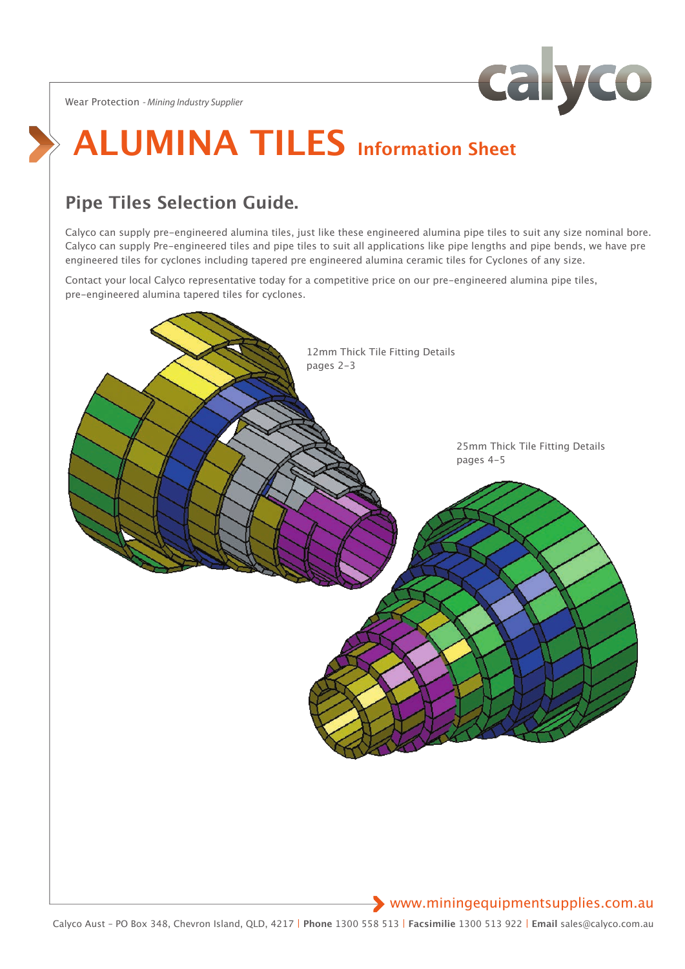Wear Protection *- Mining Industry Supplier*



# **ALUMINA TILES Information Sheet**

## **Pipe Tiles Selection Guide.**

Calyco can supply pre-engineered alumina tiles, just like these engineered alumina pipe tiles to suit any size nominal bore. Calyco can supply Pre-engineered tiles and pipe tiles to suit all applications like pipe lengths and pipe bends, we have pre engineered tiles for cyclones including tapered pre engineered alumina ceramic tiles for Cyclones of any size.

Contact your local Calyco representative today for a competitive price on our pre-engineered alumina pipe tiles, pre-engineered alumina tapered tiles for cyclones.



## www.miningequipmentsupplies.com.au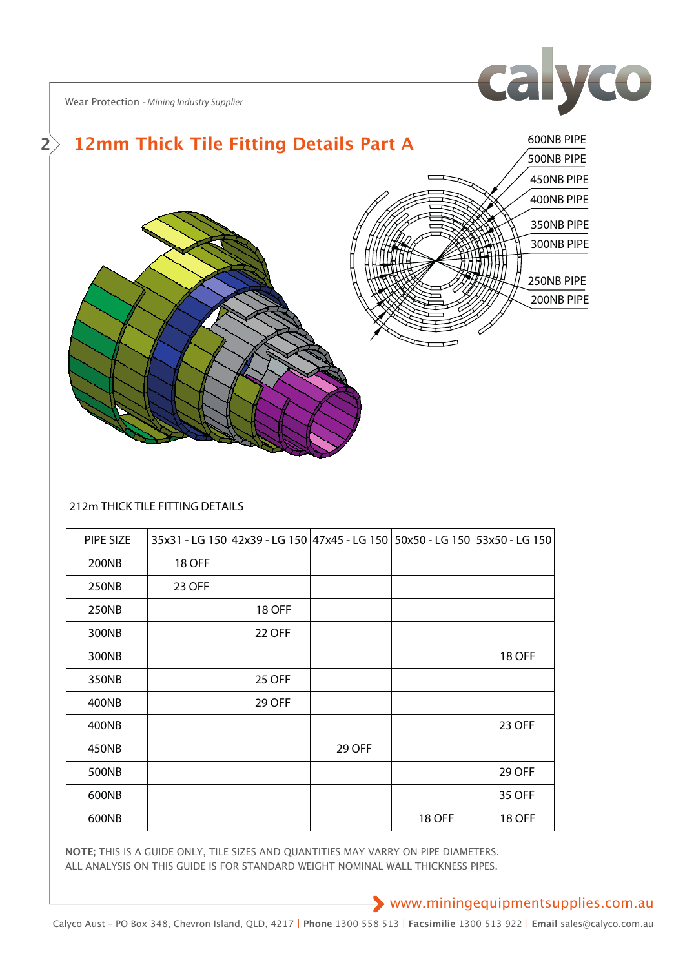

Wear Protection *- Mining Industry Supplier*



#### 212m THICK TILE FITTING DETAILS

| PIPE SIZE |               |               |               |               | 35x31 - LG 150 42x39 - LG 150 47x45 - LG 150 50x50 - LG 150 53x50 - LG 150 |
|-----------|---------------|---------------|---------------|---------------|----------------------------------------------------------------------------|
| 200NB     | <b>18 OFF</b> |               |               |               |                                                                            |
| 250NB     | 23 OFF        |               |               |               |                                                                            |
| 250NB     |               | <b>18 OFF</b> |               |               |                                                                            |
| 300NB     |               | <b>22 OFF</b> |               |               |                                                                            |
| 300NB     |               |               |               |               | <b>18 OFF</b>                                                              |
| 350NB     |               | 25 OFF        |               |               |                                                                            |
| 400NB     |               | 29 OFF        |               |               |                                                                            |
| 400NB     |               |               |               |               | 23 OFF                                                                     |
| 450NB     |               |               | <b>29 OFF</b> |               |                                                                            |
| 500NB     |               |               |               |               | <b>29 OFF</b>                                                              |
| 600NB     |               |               |               |               | 35 OFF                                                                     |
| 600NB     |               |               |               | <b>18 OFF</b> | 18 OFF                                                                     |

NOTE; THIS IS A GUIDE ONLY, TILE SIZES AND QUANTITIES MAY VARRY ON PIPE DIAMETERS. ALL ANALYSIS ON THIS GUIDE IS FOR STANDARD WEIGHT NOMINAL WALL THICKNESS PIPES.

www.miningequipmentsupplies.com.au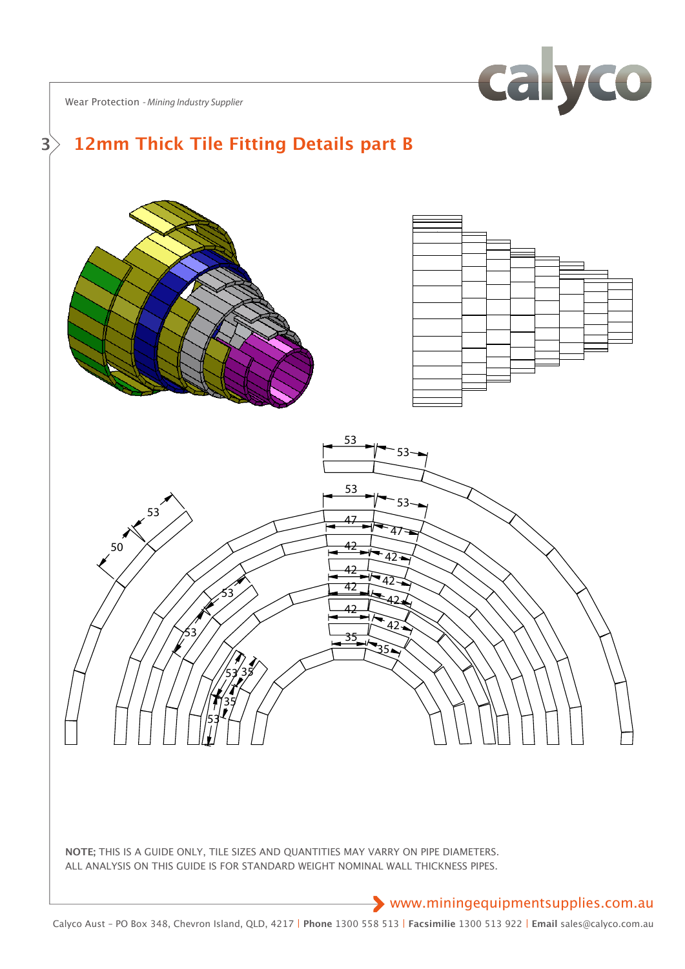calyco

Wear Protection *- Mining Industry Supplier*

#### **12mm Thick Tile Fitting Details part B**



WEIGHT KG





REF No DESCRIPTION CKD BY DATE E-MAIL sales@calyco.com.au ALL ANALYSIS ON THIS GUIDE IS FOR STANDARD WEIGHT NOMINAL WALL THICKNESS PIPES. **NOTE;** THIS IS A GUIDE ONLY, TILE SIZES AND QUANTITIES MAY VARRY ON PIPE DIAMETERS. REF No DESCRIPTION CKD BY DATE E-MAIL sales@calyco.com.au

X X X X

## www.miningequipmentsupplies.com.au

Calyco Aust – PO Box 348, Chevron Island, QLD, 4217 | **Phone** 1300 558 513 | **Facsimilie** 1300 513 922 | **Email** sales@calyco.com.au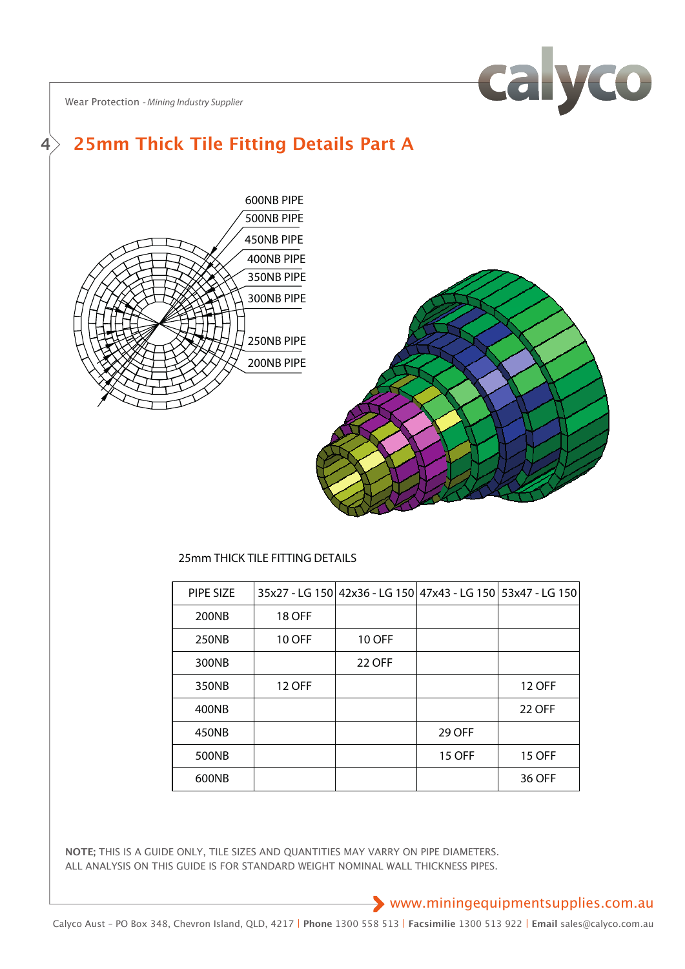

Wear Protection *- Mining Industry Supplier*

#### **25mm Thick Tile Fitting Details Part A 4**



### 25mm THICK TILE FITTING DETAILS

| PIPE SIZE |               |               | 35x27 - LG 150 42x36 - LG 150 47x43 - LG 150 53x47 - LG 150 |               |
|-----------|---------------|---------------|-------------------------------------------------------------|---------------|
| 200NB     | <b>18 OFF</b> |               |                                                             |               |
| 250NB     | <b>10 OFF</b> | <b>10 OFF</b> |                                                             |               |
| 300NB     |               | <b>22 OFF</b> |                                                             |               |
| 350NB     | <b>12 OFF</b> |               |                                                             | <b>12 OFF</b> |
| 400NB     |               |               |                                                             | <b>22 OFF</b> |
| 450NB     |               |               | 29 OFF                                                      |               |
| 500NB     |               |               | <b>15 OFF</b>                                               | <b>15 OFF</b> |
| 600NB     |               |               |                                                             | 36 OFF        |

ALL ANALYSIS ON THIS GUIDE IS FOR STANDARD WEIGHT NOMINAL WALL THICKNESS PIPES. **NOTE;** THIS IS A GUIDE ONLY, TILE SIZES AND QUANTITIES MAY VARRY ON PIPE DIAMETERS.

PART No/

www.miningequipmentsupplies.com.au ALL ANALYSIS ON THIS GUIDE IS  $\mathbb{R}^n$